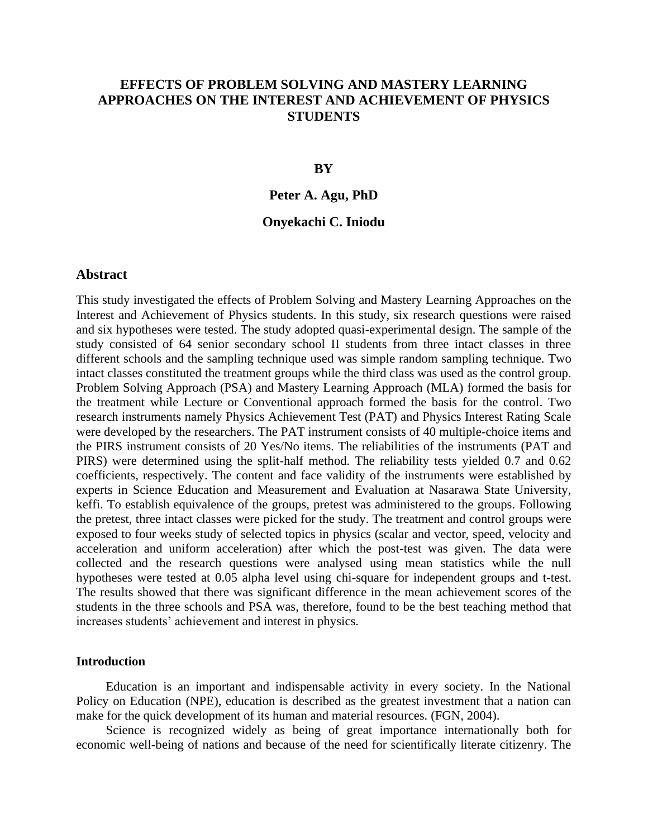# **EFFECTS OF PROBLEM SOLVING AND MASTERY LEARNING APPROACHES ON THE INTEREST AND ACHIEVEMENT OF PHYSICS STUDENTS**

### **BY**

### **Peter A. Agu, PhD**

### **Onyekachi C. Iniodu**

### **Abstract**

This study investigated the effects of Problem Solving and Mastery Learning Approaches on the Interest and Achievement of Physics students. In this study, six research questions were raised and six hypotheses were tested. The study adopted quasi-experimental design. The sample of the study consisted of 64 senior secondary school II students from three intact classes in three different schools and the sampling technique used was simple random sampling technique. Two intact classes constituted the treatment groups while the third class was used as the control group. Problem Solving Approach (PSA) and Mastery Learning Approach (MLA) formed the basis for the treatment while Lecture or Conventional approach formed the basis for the control. Two research instruments namely Physics Achievement Test (PAT) and Physics Interest Rating Scale were developed by the researchers. The PAT instrument consists of 40 multiple-choice items and the PIRS instrument consists of 20 Yes/No items. The reliabilities of the instruments (PAT and PIRS) were determined using the split-half method. The reliability tests yielded 0.7 and 0.62 coefficients, respectively. The content and face validity of the instruments were established by experts in Science Education and Measurement and Evaluation at Nasarawa State University, keffi. To establish equivalence of the groups, pretest was administered to the groups. Following the pretest, three intact classes were picked for the study. The treatment and control groups were exposed to four weeks study of selected topics in physics (scalar and vector, speed, velocity and acceleration and uniform acceleration) after which the post-test was given. The data were collected and the research questions were analysed using mean statistics while the null hypotheses were tested at 0.05 alpha level using chi-square for independent groups and t-test. The results showed that there was significant difference in the mean achievement scores of the students in the three schools and PSA was, therefore, found to be the best teaching method that increases students' achievement and interest in physics.

#### **Introduction**

Education is an important and indispensable activity in every society. In the National Policy on Education (NPE), education is described as the greatest investment that a nation can make for the quick development of its human and material resources. (FGN, 2004).

Science is recognized widely as being of great importance internationally both for economic well-being of nations and because of the need for scientifically literate citizenry. The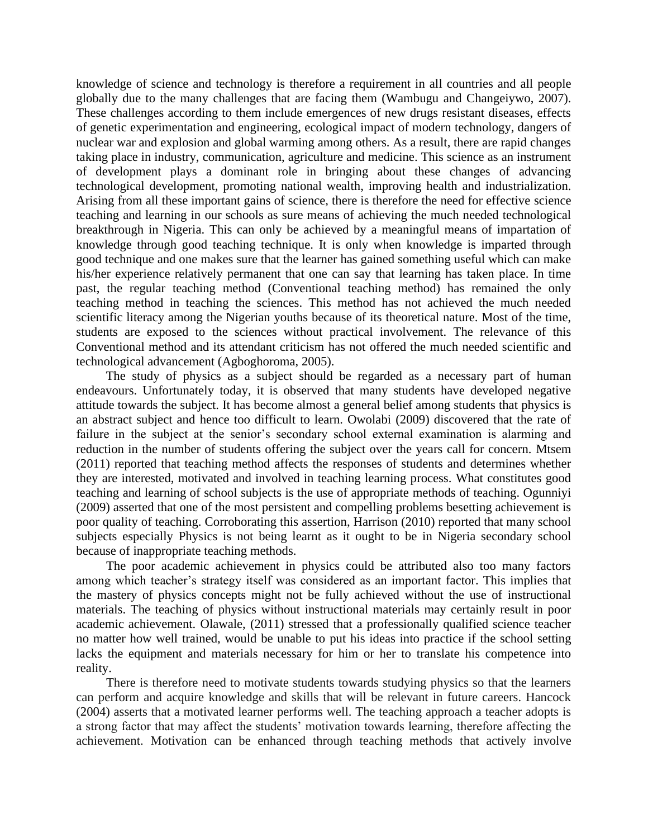knowledge of science and technology is therefore a requirement in all countries and all people globally due to the many challenges that are facing them (Wambugu and Changeiywo, 2007). These challenges according to them include emergences of new drugs resistant diseases, effects of genetic experimentation and engineering, ecological impact of modern technology, dangers of nuclear war and explosion and global warming among others. As a result, there are rapid changes taking place in industry, communication, agriculture and medicine. This science as an instrument of development plays a dominant role in bringing about these changes of advancing technological development, promoting national wealth, improving health and industrialization. Arising from all these important gains of science, there is therefore the need for effective science teaching and learning in our schools as sure means of achieving the much needed technological breakthrough in Nigeria. This can only be achieved by a meaningful means of impartation of knowledge through good teaching technique. It is only when knowledge is imparted through good technique and one makes sure that the learner has gained something useful which can make his/her experience relatively permanent that one can say that learning has taken place. In time past, the regular teaching method (Conventional teaching method) has remained the only teaching method in teaching the sciences. This method has not achieved the much needed scientific literacy among the Nigerian youths because of its theoretical nature. Most of the time, students are exposed to the sciences without practical involvement. The relevance of this Conventional method and its attendant criticism has not offered the much needed scientific and technological advancement (Agboghoroma, 2005).

The study of physics as a subject should be regarded as a necessary part of human endeavours. Unfortunately today, it is observed that many students have developed negative attitude towards the subject. It has become almost a general belief among students that physics is an abstract subject and hence too difficult to learn. Owolabi (2009) discovered that the rate of failure in the subject at the senior's secondary school external examination is alarming and reduction in the number of students offering the subject over the years call for concern. Mtsem (2011) reported that teaching method affects the responses of students and determines whether they are interested, motivated and involved in teaching learning process. What constitutes good teaching and learning of school subjects is the use of appropriate methods of teaching. Ogunniyi (2009) asserted that one of the most persistent and compelling problems besetting achievement is poor quality of teaching. Corroborating this assertion, Harrison (2010) reported that many school subjects especially Physics is not being learnt as it ought to be in Nigeria secondary school because of inappropriate teaching methods.

The poor academic achievement in physics could be attributed also too many factors among which teacher's strategy itself was considered as an important factor. This implies that the mastery of physics concepts might not be fully achieved without the use of instructional materials. The teaching of physics without instructional materials may certainly result in poor academic achievement. Olawale, (2011) stressed that a professionally qualified science teacher no matter how well trained, would be unable to put his ideas into practice if the school setting lacks the equipment and materials necessary for him or her to translate his competence into reality.

There is therefore need to motivate students towards studying physics so that the learners can perform and acquire knowledge and skills that will be relevant in future careers. Hancock (2004) asserts that a motivated learner performs well. The teaching approach a teacher adopts is a strong factor that may affect the students' motivation towards learning, therefore affecting the achievement. Motivation can be enhanced through teaching methods that actively involve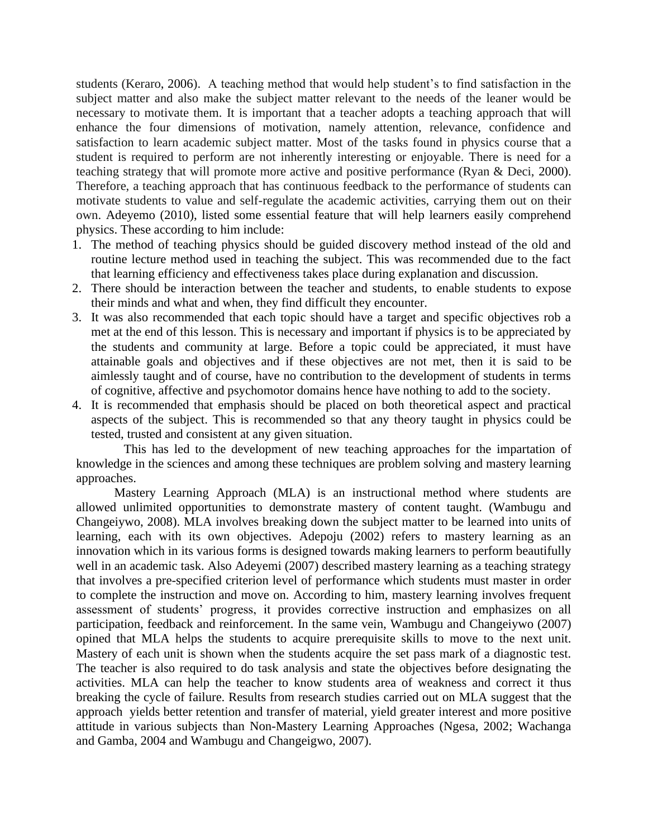students (Keraro, 2006). A teaching method that would help student's to find satisfaction in the subject matter and also make the subject matter relevant to the needs of the leaner would be necessary to motivate them. It is important that a teacher adopts a teaching approach that will enhance the four dimensions of motivation, namely attention, relevance, confidence and satisfaction to learn academic subject matter. Most of the tasks found in physics course that a student is required to perform are not inherently interesting or enjoyable. There is need for a teaching strategy that will promote more active and positive performance (Ryan & Deci, 2000). Therefore, a teaching approach that has continuous feedback to the performance of students can motivate students to value and self-regulate the academic activities, carrying them out on their own. Adeyemo (2010), listed some essential feature that will help learners easily comprehend physics. These according to him include:

- 1. The method of teaching physics should be guided discovery method instead of the old and routine lecture method used in teaching the subject. This was recommended due to the fact that learning efficiency and effectiveness takes place during explanation and discussion.
- 2. There should be interaction between the teacher and students, to enable students to expose their minds and what and when, they find difficult they encounter.
- 3. It was also recommended that each topic should have a target and specific objectives rob a met at the end of this lesson. This is necessary and important if physics is to be appreciated by the students and community at large. Before a topic could be appreciated, it must have attainable goals and objectives and if these objectives are not met, then it is said to be aimlessly taught and of course, have no contribution to the development of students in terms of cognitive, affective and psychomotor domains hence have nothing to add to the society.
- 4. It is recommended that emphasis should be placed on both theoretical aspect and practical aspects of the subject. This is recommended so that any theory taught in physics could be tested, trusted and consistent at any given situation.

This has led to the development of new teaching approaches for the impartation of knowledge in the sciences and among these techniques are problem solving and mastery learning approaches.

Mastery Learning Approach (MLA) is an instructional method where students are allowed unlimited opportunities to demonstrate mastery of content taught. (Wambugu and Changeiywo, 2008). MLA involves breaking down the subject matter to be learned into units of learning, each with its own objectives. Adepoju (2002) refers to mastery learning as an innovation which in its various forms is designed towards making learners to perform beautifully well in an academic task. Also Adeyemi (2007) described mastery learning as a teaching strategy that involves a pre-specified criterion level of performance which students must master in order to complete the instruction and move on. According to him, mastery learning involves frequent assessment of students' progress, it provides corrective instruction and emphasizes on all participation, feedback and reinforcement. In the same vein, Wambugu and Changeiywo (2007) opined that MLA helps the students to acquire prerequisite skills to move to the next unit. Mastery of each unit is shown when the students acquire the set pass mark of a diagnostic test. The teacher is also required to do task analysis and state the objectives before designating the activities. MLA can help the teacher to know students area of weakness and correct it thus breaking the cycle of failure. Results from research studies carried out on MLA suggest that the approach yields better retention and transfer of material, yield greater interest and more positive attitude in various subjects than Non-Mastery Learning Approaches (Ngesa, 2002; Wachanga and Gamba, 2004 and Wambugu and Changeigwo, 2007).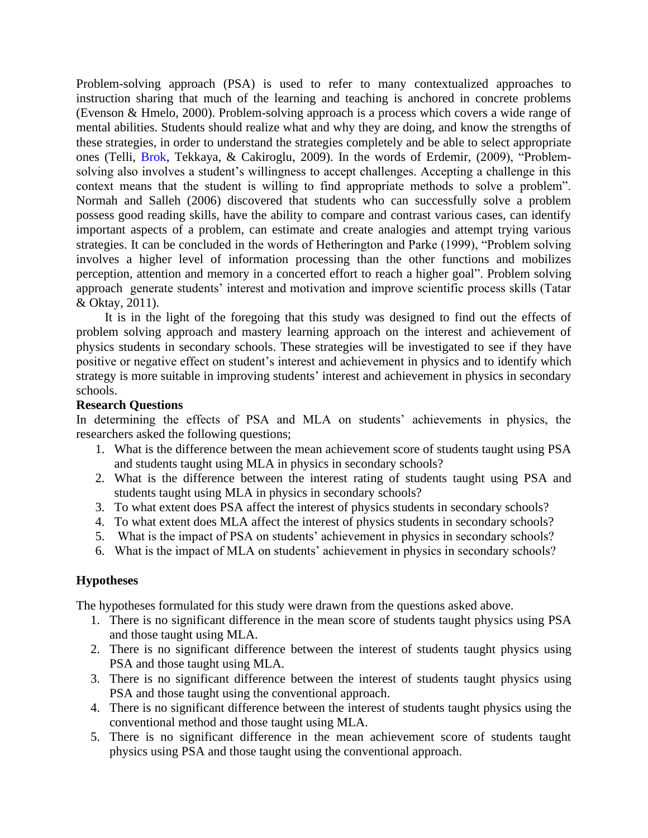Problem-solving approach (PSA) is used to refer to many contextualized approaches to instruction sharing that much of the learning and teaching is anchored in concrete problems (Evenson & Hmelo, 2000). Problem-solving approach is a process which covers a wide range of mental abilities. Students should realize what and why they are doing, and know the strengths of these strategies, in order to understand the strategies completely and be able to select appropriate ones (Telli, Brok, Tekkaya, & Cakiroglu, 2009). In the words of Erdemir, (2009), "Problemsolving also involves a student's willingness to accept challenges. Accepting a challenge in this context means that the student is willing to find appropriate methods to solve a problem". Normah and Salleh (2006) discovered that students who can successfully solve a problem possess good reading skills, have the ability to compare and contrast various cases, can identify important aspects of a problem, can estimate and create analogies and attempt trying various strategies. It can be concluded in the words of Hetherington and Parke (1999), "Problem solving involves a higher level of information processing than the other functions and mobilizes perception, attention and memory in a concerted effort to reach a higher goal". Problem solving approach generate students' interest and motivation and improve scientific process skills (Tatar & Oktay, 2011).

It is in the light of the foregoing that this study was designed to find out the effects of problem solving approach and mastery learning approach on the interest and achievement of physics students in secondary schools. These strategies will be investigated to see if they have positive or negative effect on student's interest and achievement in physics and to identify which strategy is more suitable in improving students' interest and achievement in physics in secondary schools.

### **Research Questions**

In determining the effects of PSA and MLA on students' achievements in physics, the researchers asked the following questions;

- 1. What is the difference between the mean achievement score of students taught using PSA and students taught using MLA in physics in secondary schools?
- 2. What is the difference between the interest rating of students taught using PSA and students taught using MLA in physics in secondary schools?
- 3. To what extent does PSA affect the interest of physics students in secondary schools?
- 4. To what extent does MLA affect the interest of physics students in secondary schools?
- 5. What is the impact of PSA on students' achievement in physics in secondary schools?
- 6. What is the impact of MLA on students' achievement in physics in secondary schools?

### **Hypotheses**

The hypotheses formulated for this study were drawn from the questions asked above.

- 1. There is no significant difference in the mean score of students taught physics using PSA and those taught using MLA.
- 2. There is no significant difference between the interest of students taught physics using PSA and those taught using MLA.
- 3. There is no significant difference between the interest of students taught physics using PSA and those taught using the conventional approach.
- 4. There is no significant difference between the interest of students taught physics using the conventional method and those taught using MLA.
- 5. There is no significant difference in the mean achievement score of students taught physics using PSA and those taught using the conventional approach.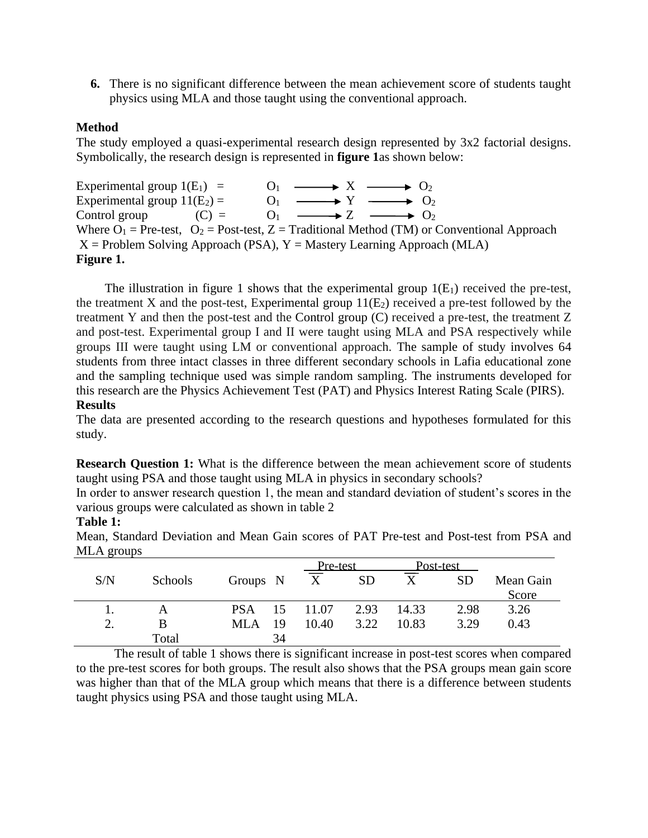**6.** There is no significant difference between the mean achievement score of students taught physics using MLA and those taught using the conventional approach.

### **Method**

The study employed a quasi-experimental research design represented by 3x2 factorial designs. Symbolically, the research design is represented in **figure 1**as shown below:

Experimental group  $1(E_1) = O_1 \longrightarrow X \longrightarrow O_2$ Experimental group  $11(E_2) =$  O<sub>1</sub>  $\longrightarrow Y \longrightarrow 0_2$ Control group  $(C) = O_1 \longrightarrow Z \longrightarrow O_2$ Where  $O_1$  = Pre-test,  $O_2$  = Post-test, Z = Traditional Method (TM) or Conventional Approach  $X =$  Problem Solving Approach (PSA),  $Y =$  Mastery Learning Approach (MLA) **Figure 1.**

The illustration in figure 1 shows that the experimental group  $1(E_1)$  received the pre-test, the treatment X and the post-test, Experimental group  $11(E_2)$  received a pre-test followed by the treatment Y and then the post-test and the Control group (C) received a pre-test, the treatment Z and post-test. Experimental group I and II were taught using MLA and PSA respectively while groups III were taught using LM or conventional approach. The sample of study involves 64 students from three intact classes in three different secondary schools in Lafia educational zone and the sampling technique used was simple random sampling. The instruments developed for this research are the Physics Achievement Test (PAT) and Physics Interest Rating Scale (PIRS).

#### **Results**

The data are presented according to the research questions and hypotheses formulated for this study.

**Research Question 1:** What is the difference between the mean achievement score of students taught using PSA and those taught using MLA in physics in secondary schools?

In order to answer research question 1, the mean and standard deviation of student's scores in the various groups were calculated as shown in table 2

### **Table 1:**

Pre-test Post-test S/N Schools Groups N X SD X SD Mean Gain Score 1. A PSA 15 11.07 2.93 14.33 2.98 3.26 2. B MLA 19 10.40 3.22 10.83 3.29 0.43 Total 34

Mean, Standard Deviation and Mean Gain scores of PAT Pre-test and Post-test from PSA and MLA groups

The result of table 1 shows there is significant increase in post-test scores when compared to the pre-test scores for both groups. The result also shows that the PSA groups mean gain score was higher than that of the MLA group which means that there is a difference between students taught physics using PSA and those taught using MLA.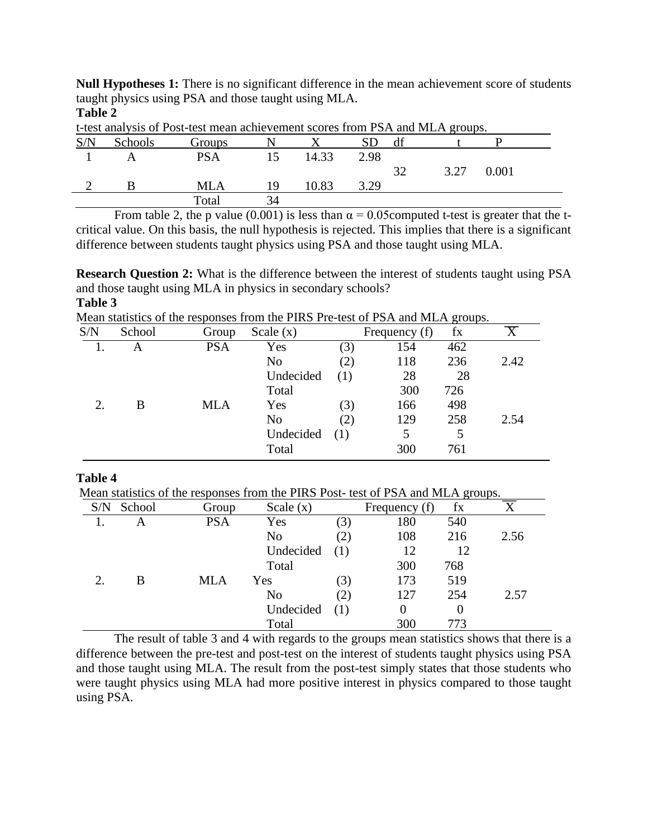**Null Hypotheses 1:** There is no significant difference in the mean achievement score of students taught physics using PSA and those taught using MLA.

| t-test analysis of Post-test mean achievement scores from PSA and MLA groups. |                |               |    |       |      |    |      |       |  |  |
|-------------------------------------------------------------------------------|----------------|---------------|----|-------|------|----|------|-------|--|--|
| S/N                                                                           | <b>Schools</b> | <b>Groups</b> |    |       |      |    |      |       |  |  |
|                                                                               |                | PSA           |    | 14.33 | 2.98 |    |      |       |  |  |
|                                                                               |                |               |    |       |      | 32 | 3.27 | 0.001 |  |  |
|                                                                               |                | MLA           | 19 | 10.83 | 3.29 |    |      |       |  |  |
|                                                                               |                | Total         | 34 |       |      |    |      |       |  |  |

**Table 2**

From table 2, the p value (0.001) is less than  $\alpha = 0.05$ computed t-test is greater that the tcritical value. On this basis, the null hypothesis is rejected. This implies that there is a significant difference between students taught physics using PSA and those taught using MLA.

**Research Question 2:** What is the difference between the interest of students taught using PSA and those taught using MLA in physics in secondary schools? **Table 3**

Mean statistics of the responses from the PIRS Pre-test of PSA and MLA groups.

| S/N | School | Group      | Scale $(x)$    |     | Frequency (f) | fx  |      |
|-----|--------|------------|----------------|-----|---------------|-----|------|
|     | A      | <b>PSA</b> | Yes            | (3) | 154           | 462 |      |
|     |        |            | No             | (2) | 118           | 236 | 2.42 |
|     |        |            | Undecided      |     | 28            | 28  |      |
|     |        |            | Total          |     | 300           | 726 |      |
| 2.  | B      | <b>MLA</b> | Yes            | (3) | 166           | 498 |      |
|     |        |            | N <sub>0</sub> | (2) | 129           | 258 | 2.54 |
|     |        |            | Undecided      | (1) | 5             | 5   |      |
|     |        |            | Total          |     | 300           | 761 |      |

### **Table 4**

Mean statistics of the responses from the PIRS Post- test of PSA and MLA groups.

| S/N | School | Group      | Scale $(x)$    |     | Frequency (f) | fx       |      |
|-----|--------|------------|----------------|-----|---------------|----------|------|
|     | A      | <b>PSA</b> | Yes            | (3) | 180           | 540      |      |
|     |        |            | N <sub>0</sub> | (2) | 108           | 216      | 2.56 |
|     |        |            | Undecided      |     | 12            | 12       |      |
|     |        |            | Total          |     | 300           | 768      |      |
| 2.  | B      | <b>MLA</b> | Yes            | (3) | 173           | 519      |      |
|     |        |            | N <sub>0</sub> | (2) | 127           | 254      | 2.57 |
|     |        |            | Undecided      |     | $\Omega$      | $\Omega$ |      |
|     |        |            | Total          |     | 300           | 773      |      |

The result of table 3 and 4 with regards to the groups mean statistics shows that there is a difference between the pre-test and post-test on the interest of students taught physics using PSA and those taught using MLA. The result from the post-test simply states that those students who were taught physics using MLA had more positive interest in physics compared to those taught using PSA.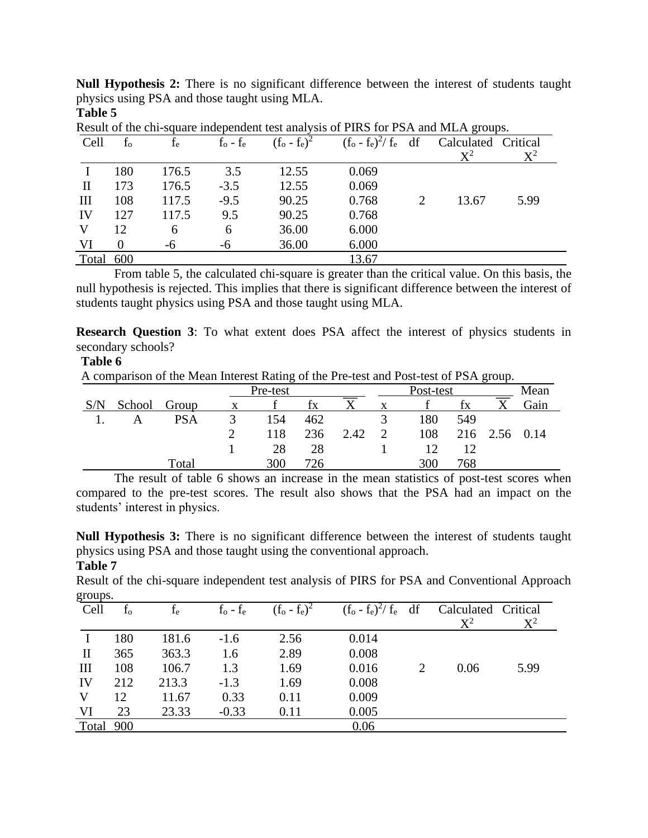**Null Hypothesis 2:** There is no significant difference between the interest of students taught physics using PSA and those taught using MLA. **Table 5**

|              | result of the chi-square maepenaent test anarysis of I five for Fort and METT groups. |       |                   |                 |                          |  |                     |                |  |  |  |  |
|--------------|---------------------------------------------------------------------------------------|-------|-------------------|-----------------|--------------------------|--|---------------------|----------------|--|--|--|--|
| Cell         | $f_{o}$                                                                               | $f_e$ | $f_{o}$ - $f_{e}$ | $(f_o - f_e)^2$ | $(f_o - f_e)^2 / f_e$ df |  | Calculated Critical |                |  |  |  |  |
|              |                                                                                       |       |                   |                 |                          |  | $\mathrm{X}^2$      | $\mathrm{X}^2$ |  |  |  |  |
|              | 180                                                                                   | 176.5 | 3.5               | 12.55           | 0.069                    |  |                     |                |  |  |  |  |
| $\mathbf{I}$ | 173                                                                                   | 176.5 | $-3.5$            | 12.55           | 0.069                    |  |                     |                |  |  |  |  |
| Ш            | 108                                                                                   | 117.5 | $-9.5$            | 90.25           | 0.768                    |  | 13.67               | 5.99           |  |  |  |  |
| IV           | 127                                                                                   | 117.5 | 9.5               | 90.25           | 0.768                    |  |                     |                |  |  |  |  |
| V            | 12                                                                                    | 6     | 6                 | 36.00           | 6.000                    |  |                     |                |  |  |  |  |
| VI           |                                                                                       | -6    | -6                | 36.00           | 6.000                    |  |                     |                |  |  |  |  |
| Total 600    |                                                                                       |       |                   |                 | 13.67                    |  |                     |                |  |  |  |  |

Result of the chi-square independent test analysis of PIRS for PSA and MLA groups.

From table 5, the calculated chi-square is greater than the critical value. On this basis, the null hypothesis is rejected. This implies that there is significant difference between the interest of students taught physics using PSA and those taught using MLA.

**Research Question 3**: To what extent does PSA affect the interest of physics students in secondary schools?

### **Table 6**

A comparison of the Mean Interest Rating of the Pre-test and Post-test of PSA group.

| Pre-test |            |  |     |     |      | ັ<br>Post-test |     |     |          | Mean |
|----------|------------|--|-----|-----|------|----------------|-----|-----|----------|------|
| School   | Group      |  |     | fx  |      | X              |     | İΧ  |          | Gain |
|          | <b>PSA</b> |  | 154 | 462 |      |                | 180 | 549 |          |      |
|          |            |  | 118 | 236 | 2.42 | $\mathcal{D}$  | 108 |     | 216 2.56 | 0.14 |
|          |            |  | 28  | 28  |      |                |     |     |          |      |
|          | Total      |  | 300 | 726 |      |                | 300 | 768 |          |      |

The result of table 6 shows an increase in the mean statistics of post-test scores when compared to the pre-test scores. The result also shows that the PSA had an impact on the students' interest in physics.

**Null Hypothesis 3:** There is no significant difference between the interest of students taught physics using PSA and those taught using the conventional approach.

## **Table 7**

Result of the chi-square independent test analysis of PIRS for PSA and Conventional Approach groups.

| $e^{2\alpha}$      |         |       |                   |                 |                          |   |                              |                |
|--------------------|---------|-------|-------------------|-----------------|--------------------------|---|------------------------------|----------------|
| Cell               | $f_{o}$ | $f_e$ | $f_{o}$ - $f_{e}$ | $(f_o - f_e)^2$ | $(f_o - f_e)^2 / f_e$ df |   | Calculated Critical<br>$X^2$ | $\mathrm{X}^2$ |
|                    | 180     | 181.6 | $-1.6$            | 2.56            | 0.014                    |   |                              |                |
| $\mathbf{I}$       | 365     | 363.3 | 1.6               | 2.89            | 0.008                    |   |                              |                |
| $\mathop{\rm III}$ | 108     | 106.7 | 1.3               | 1.69            | 0.016                    | 2 | 0.06                         | 5.99           |
| IV                 | 212     | 213.3 | $-1.3$            | 1.69            | 0.008                    |   |                              |                |
| V                  | 12      | 11.67 | 0.33              | 0.11            | 0.009                    |   |                              |                |
| VI                 | 23      | 23.33 | $-0.33$           | 0.11            | 0.005                    |   |                              |                |
| Total 900          |         |       |                   |                 | 0.06                     |   |                              |                |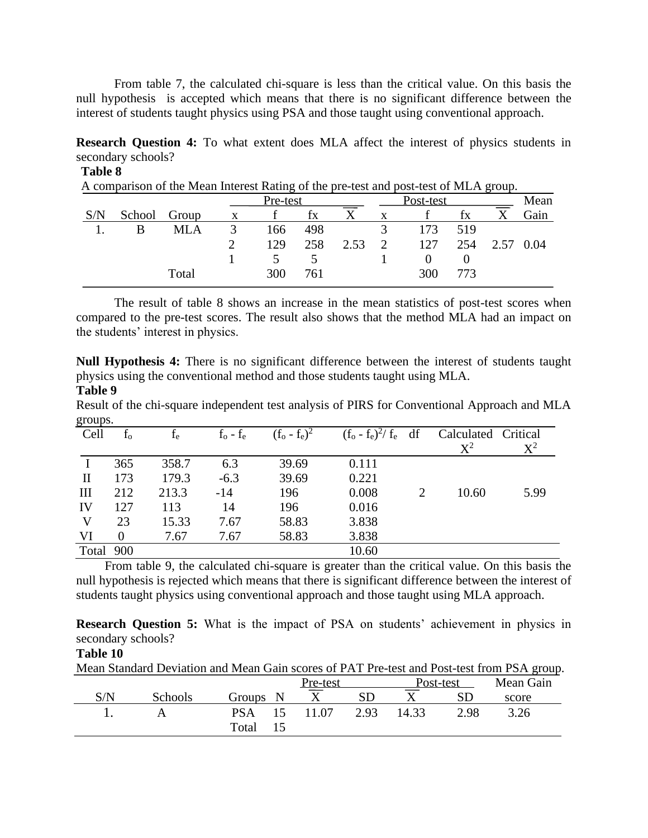From table 7, the calculated chi-square is less than the critical value. On this basis the null hypothesis is accepted which means that there is no significant difference between the interest of students taught physics using PSA and those taught using conventional approach.

**Research Question 4:** To what extent does MLA affect the interest of physics students in secondary schools?

A comparison of the Mean Interest Rating of the pre-test and post-test of MLA group.

|        |       |   | Pre-test |     |      | Post-test     |     |     |  | Mean |
|--------|-------|---|----------|-----|------|---------------|-----|-----|--|------|
| School | Group | X |          | İХ  |      |               |     | tх  |  | Gain |
|        | MLA   |   | 166      | 498 |      |               | 173 | 519 |  |      |
|        |       |   | 129      | 258 | 2.53 | $\mathcal{D}$ | 127 | 254 |  | 0.04 |
|        |       |   |          |     |      |               |     |     |  |      |
|        | Total |   | 300      | 761 |      |               | 300 | 773 |  |      |
|        |       |   |          |     |      |               |     |     |  |      |

The result of table 8 shows an increase in the mean statistics of post-test scores when compared to the pre-test scores. The result also shows that the method MLA had an impact on the students' interest in physics.

**Null Hypothesis 4:** There is no significant difference between the interest of students taught physics using the conventional method and those students taught using MLA. **Table 9**

Result of the chi-square independent test analysis of PIRS for Conventional Approach and MLA groups.

| $5.04 \text{p}$ . |          |       |                   |                 |                          |                             |                              |       |
|-------------------|----------|-------|-------------------|-----------------|--------------------------|-----------------------------|------------------------------|-------|
| Cell              | $f_{o}$  | $f_e$ | $f_{o}$ - $f_{e}$ | $(f_o - f_e)^2$ | $(f_o - f_e)^2 / f_e$ df |                             | Calculated Critical<br>$X^2$ | $X^2$ |
|                   | 365      | 358.7 | 6.3               | 39.69           | 0.111                    |                             |                              |       |
| $\mathbf{I}$      | 173      | 179.3 | $-6.3$            | 39.69           | 0.221                    |                             |                              |       |
| III               | 212      | 213.3 | $-14$             | 196             | 0.008                    | $\mathcal{D}_{\mathcal{L}}$ | 10.60                        | 5.99  |
| IV                | 127      | 113   | 14                | 196             | 0.016                    |                             |                              |       |
| V                 | 23       | 15.33 | 7.67              | 58.83           | 3.838                    |                             |                              |       |
| VI                | $\Omega$ | 7.67  | 7.67              | 58.83           | 3.838                    |                             |                              |       |
| Total 900         |          |       |                   |                 | 10.60                    |                             |                              |       |

From table 9, the calculated chi-square is greater than the critical value. On this basis the null hypothesis is rejected which means that there is significant difference between the interest of students taught physics using conventional approach and those taught using MLA approach.

**Research Question 5:** What is the impact of PSA on students' achievement in physics in secondary schools?

# **Table 10**

Mean Standard Deviation and Mean Gain scores of PAT Pre-test and Post-test from PSA group.

|     |                |                  | <u>Pre-test</u> |           |       | Post-test | Mean Gain |
|-----|----------------|------------------|-----------------|-----------|-------|-----------|-----------|
| S/N | <b>Schools</b> | Groups N         |                 | <b>SD</b> |       |           | score     |
|     |                | <b>PSA</b><br>15 | 11.07           | 2.93      | 14.33 | 2.98      | 3.26      |
|     |                | Total<br>15      |                 |           |       |           |           |

**Table 8**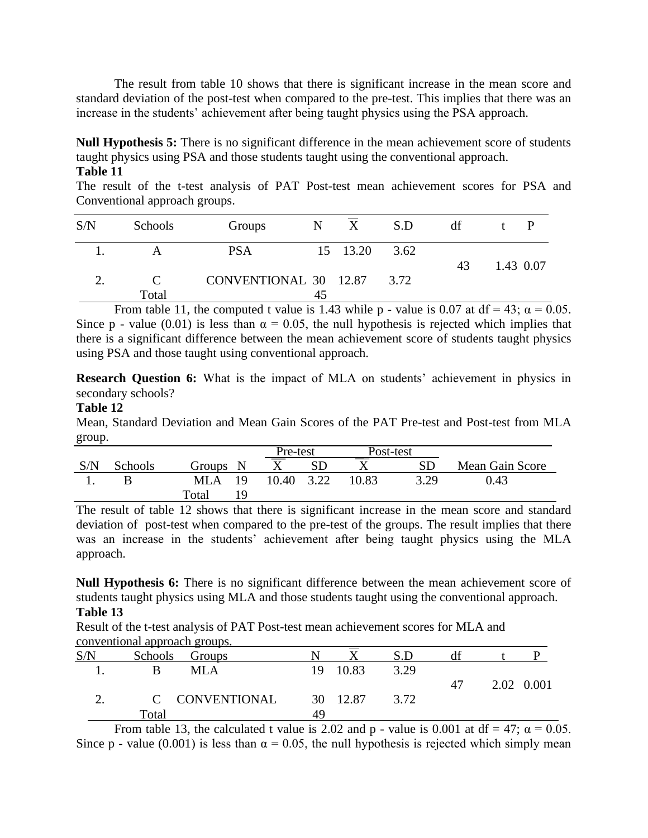The result from table 10 shows that there is significant increase in the mean score and standard deviation of the post-test when compared to the pre-test. This implies that there was an increase in the students' achievement after being taught physics using the PSA approach.

**Null Hypothesis 5:** There is no significant difference in the mean achievement score of students taught physics using PSA and those students taught using the conventional approach. **Table 11**

The result of the t-test analysis of PAT Post-test mean achievement scores for PSA and Conventional approach groups.

| S/N | Schools | Groups                     | N  | X        | S.D  | df |           |
|-----|---------|----------------------------|----|----------|------|----|-----------|
|     |         | <b>PSA</b>                 |    | 15 13.20 | 3.62 | 43 | 1.43 0.07 |
|     | Total   | CONVENTIONAL 30 12.87 3.72 | 45 |          |      |    |           |

From table 11, the computed t value is 1.43 while p - value is 0.07 at df = 43;  $\alpha = 0.05$ . Since p - value (0.01) is less than  $\alpha = 0.05$ , the null hypothesis is rejected which implies that there is a significant difference between the mean achievement score of students taught physics using PSA and those taught using conventional approach.

**Research Question 6:** What is the impact of MLA on students' achievement in physics in secondary schools?

### **Table 12**

Mean, Standard Deviation and Mean Gain Scores of the PAT Pre-test and Post-test from MLA group.

|     |         |              |       | Pre-test  |       | Post-test |                 |
|-----|---------|--------------|-------|-----------|-------|-----------|-----------------|
| S/N | Schools | Groups N     |       | <b>SD</b> |       | <b>SD</b> | Mean Gain Score |
|     |         | 19<br>MLA    | 10.40 | 3.22      | 10.83 | 3.29      | 0.43            |
|     |         | Total<br>1 Q |       |           |       |           |                 |

The result of table 12 shows that there is significant increase in the mean score and standard deviation of post-test when compared to the pre-test of the groups. The result implies that there was an increase in the students' achievement after being taught physics using the MLA approach.

**Null Hypothesis 6:** There is no significant difference between the mean achievement score of students taught physics using MLA and those students taught using the conventional approach. **Table 13**

Result of the t-test analysis of PAT Post-test mean achievement scores for MLA and conventional approach groups.

| S/N | Schools Groups |    |          | S.D  |    |            |
|-----|----------------|----|----------|------|----|------------|
|     | MLA            | 19 | 10.83    | 3.29 |    |            |
|     |                |    |          |      | 47 | 2.02 0.001 |
|     | C CONVENTIONAL |    | 30 12.87 | 3.72 |    |            |
|     | Total          | 49 |          |      |    |            |

From table 13, the calculated t value is 2.02 and p - value is 0.001 at df = 47;  $\alpha$  = 0.05. Since p - value (0.001) is less than  $\alpha = 0.05$ , the null hypothesis is rejected which simply mean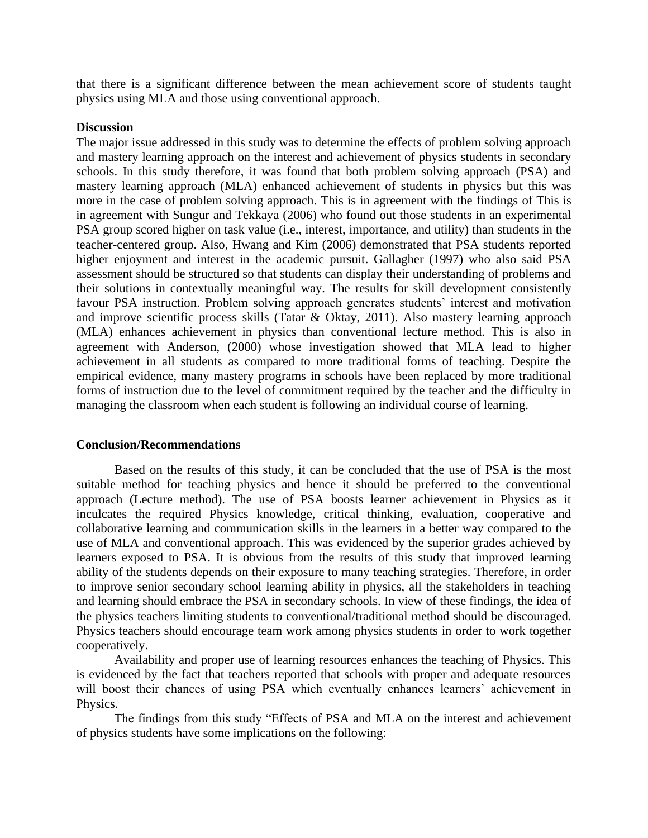that there is a significant difference between the mean achievement score of students taught physics using MLA and those using conventional approach.

#### **Discussion**

The major issue addressed in this study was to determine the effects of problem solving approach and mastery learning approach on the interest and achievement of physics students in secondary schools. In this study therefore, it was found that both problem solving approach (PSA) and mastery learning approach (MLA) enhanced achievement of students in physics but this was more in the case of problem solving approach. This is in agreement with the findings of This is in agreement with Sungur and Tekkaya (2006) who found out those students in an experimental PSA group scored higher on task value (i.e., interest, importance, and utility) than students in the teacher-centered group. Also, Hwang and Kim (2006) demonstrated that PSA students reported higher enjoyment and interest in the academic pursuit. Gallagher (1997) who also said PSA assessment should be structured so that students can display their understanding of problems and their solutions in contextually meaningful way. The results for skill development consistently favour PSA instruction. Problem solving approach generates students' interest and motivation and improve scientific process skills (Tatar & Oktay, 2011). Also mastery learning approach (MLA) enhances achievement in physics than conventional lecture method. This is also in agreement with Anderson, (2000) whose investigation showed that MLA lead to higher achievement in all students as compared to more traditional forms of teaching. Despite the empirical evidence, many mastery programs in schools have been replaced by more traditional forms of instruction due to the level of commitment required by the teacher and the difficulty in managing the classroom when each student is following an individual course of learning.

#### **Conclusion/Recommendations**

Based on the results of this study, it can be concluded that the use of PSA is the most suitable method for teaching physics and hence it should be preferred to the conventional approach (Lecture method). The use of PSA boosts learner achievement in Physics as it inculcates the required Physics knowledge, critical thinking, evaluation, cooperative and collaborative learning and communication skills in the learners in a better way compared to the use of MLA and conventional approach. This was evidenced by the superior grades achieved by learners exposed to PSA. It is obvious from the results of this study that improved learning ability of the students depends on their exposure to many teaching strategies. Therefore, in order to improve senior secondary school learning ability in physics, all the stakeholders in teaching and learning should embrace the PSA in secondary schools. In view of these findings, the idea of the physics teachers limiting students to conventional/traditional method should be discouraged. Physics teachers should encourage team work among physics students in order to work together cooperatively.

Availability and proper use of learning resources enhances the teaching of Physics. This is evidenced by the fact that teachers reported that schools with proper and adequate resources will boost their chances of using PSA which eventually enhances learners' achievement in Physics.

The findings from this study "Effects of PSA and MLA on the interest and achievement of physics students have some implications on the following: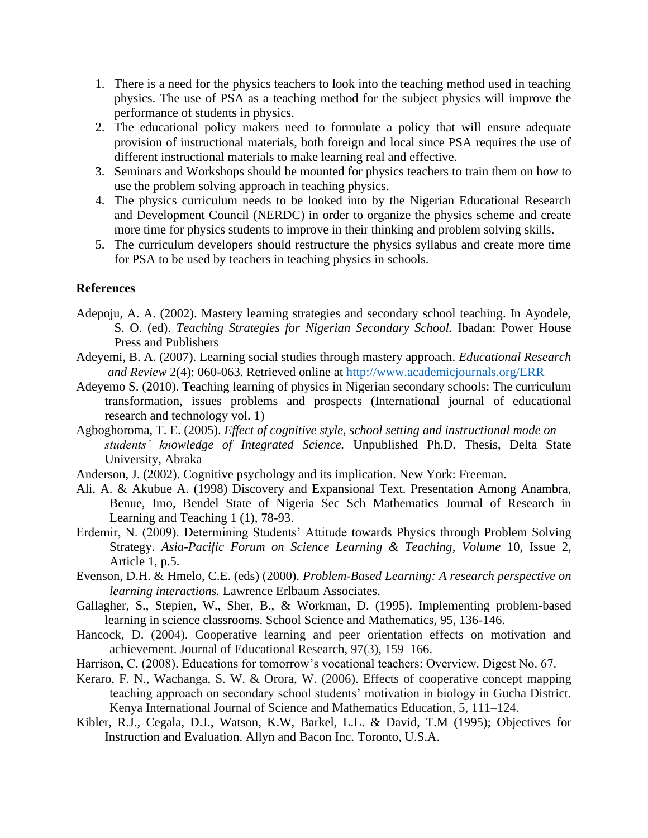- 1. There is a need for the physics teachers to look into the teaching method used in teaching physics. The use of PSA as a teaching method for the subject physics will improve the performance of students in physics.
- 2. The educational policy makers need to formulate a policy that will ensure adequate provision of instructional materials, both foreign and local since PSA requires the use of different instructional materials to make learning real and effective.
- 3. Seminars and Workshops should be mounted for physics teachers to train them on how to use the problem solving approach in teaching physics.
- 4. The physics curriculum needs to be looked into by the Nigerian Educational Research and Development Council (NERDC) in order to organize the physics scheme and create more time for physics students to improve in their thinking and problem solving skills.
- 5. The curriculum developers should restructure the physics syllabus and create more time for PSA to be used by teachers in teaching physics in schools.

## **References**

- Adepoju, A. A. (2002). Mastery learning strategies and secondary school teaching. In Ayodele, S. O. (ed). *Teaching Strategies for Nigerian Secondary School.* Ibadan: Power House Press and Publishers
- Adeyemi, B. A. (2007). Learning social studies through mastery approach. *Educational Research and Review* 2(4): 060-063. Retrieved online at http://www.academicjournals.org/ERR
- Adeyemo S. (2010). Teaching learning of physics in Nigerian secondary schools: The curriculum transformation, issues problems and prospects (International journal of educational research and technology vol. 1)
- Agboghoroma, T. E. (2005). *Effect of cognitive style, school setting and instructional mode on students' knowledge of Integrated Science.* Unpublished Ph.D. Thesis, Delta State University, Abraka
- Anderson, J. (2002). Cognitive psychology and its implication. New York: Freeman.
- Ali, A. & Akubue A. (1998) Discovery and Expansional Text. Presentation Among Anambra, Benue, Imo, Bendel State of Nigeria Sec Sch Mathematics Journal of Research in Learning and Teaching 1 (1), 78-93.
- Erdemir, N. (2009). Determining Students' Attitude towards Physics through Problem Solving Strategy. *Asia-Pacific Forum on Science Learning & Teaching*, *Volume* 10, Issue 2, Article 1, p.5.
- Evenson, D.H. & Hmelo, C.E. (eds) (2000). *Problem-Based Learning: A research perspective on learning interactions.* Lawrence Erlbaum Associates.
- Gallagher, S., Stepien, W., Sher, B., & Workman, D. (1995). Implementing problem-based learning in science classrooms. School Science and Mathematics, 95, 136-146.
- Hancock, D. (2004). Cooperative learning and peer orientation effects on motivation and achievement. Journal of Educational Research, 97(3), 159–166.
- Harrison, C. (2008). Educations for tomorrow's vocational teachers: Overview. Digest No. 67.
- Keraro, F. N., Wachanga, S. W. & Orora, W. (2006). Effects of cooperative concept mapping teaching approach on secondary school students' motivation in biology in Gucha District. Kenya International Journal of Science and Mathematics Education, 5, 111–124.
- Kibler, R.J., Cegala, D.J., Watson, K.W, Barkel, L.L. & David, T.M (1995); Objectives for Instruction and Evaluation. Allyn and Bacon Inc. Toronto, U.S.A.